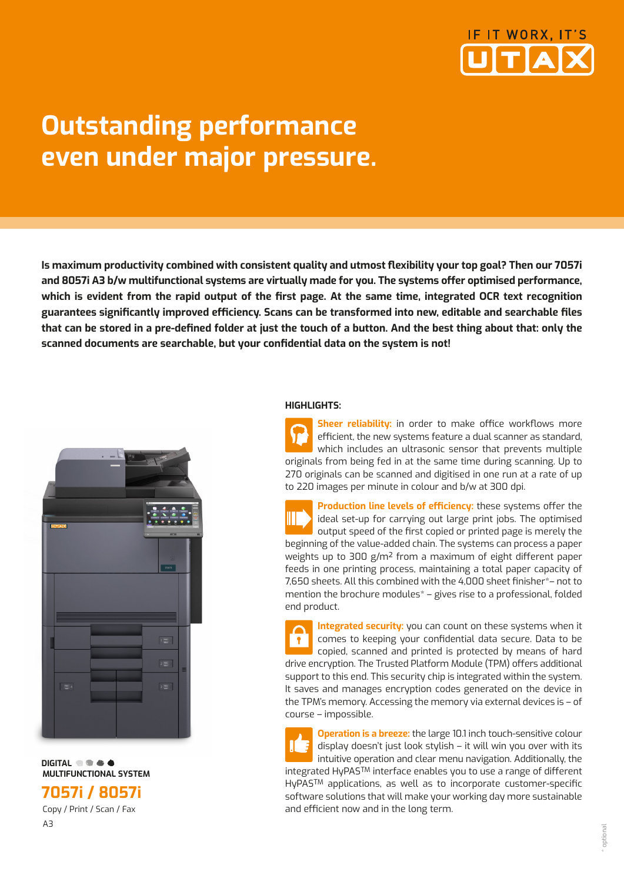

# **Outstanding performance even under major pressure.**

**Is maximum productivity combined with consistent quality and utmost flexibility your top goal? Then our 7057i and 8057i A3 b/w multifunctional systems are virtually made for you. The systems offer optimised performance, which is evident from the rapid output of the first page. At the same time, integrated OCR text recognition guarantees significantly improved efficiency. Scans can be transformed into new, editable and searchable files that can be stored in a pre-defined folder at just the touch of a button. And the best thing about that: only the scanned documents are searchable, but your confidential data on the system is not!** 



**DIGITAL**  $\bullet$  **C A MULTIFUNCTIONAL SYSTEM** 

**7057i / 8057i**

 Copy / Print / Scan / Fax A3

#### **HIGHLIGHTS:**

**Sheer reliability:** in order to make office workflows more efficient, the new systems feature a dual scanner as standard, which includes an ultrasonic sensor that prevents multiple originals from being fed in at the same time during scanning. Up to 270 originals can be scanned and digitised in one run at a rate of up to 220 images per minute in colour and b/w at 300 dpi.

**Production line levels of efficiency:** these systems offer the ideal set-up for carrying out large print jobs. The optimised output speed of the first copied or printed page is merely the beginning of the value-added chain. The systems can process a paper weights up to 300 g/m² from a maximum of eight different paper feeds in one printing process, maintaining a total paper capacity of 7,650 sheets. All this combined with the 4,000 sheet finisher\*– not to mention the brochure modules\* – gives rise to a professional, folded end product.

**Integrated security:** you can count on these systems when it comes to keeping your confidential data secure. Data to be copied, scanned and printed is protected by means of hard drive encryption. The Trusted Platform Module (TPM) offers additional support to this end. This security chip is integrated within the system. It saves and manages encryption codes generated on the device in the TPM's memory. Accessing the memory via external devices is – of course – impossible.

**Operation is a breeze:** the large 10.1 inch touch-sensitive colour display doesn't just look stylish – it will win you over with its intuitive operation and clear menu navigation. Additionally, the integrated HyPASTM interface enables you to use a range of different HyPASTM applications, as well as to incorporate customer-specific software solutions that will make your working day more sustainable and efficient now and in the long term.